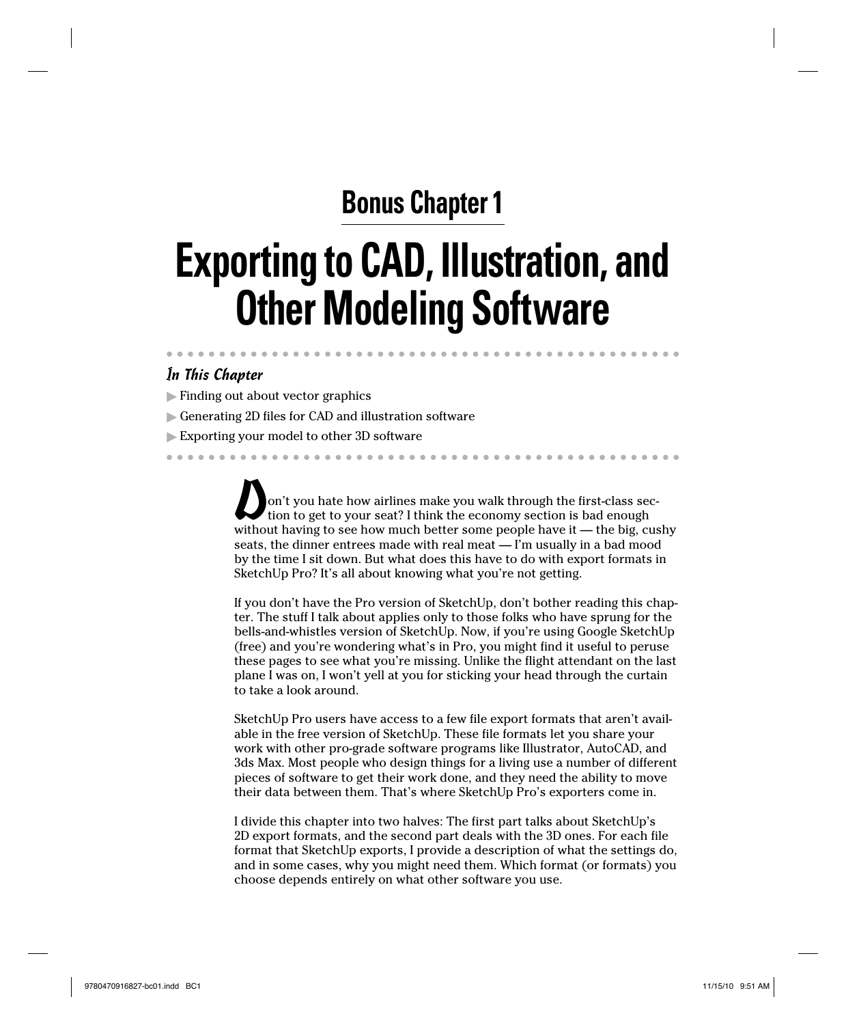# **Bonus Chapter 1**

# **Exporting to CAD, Illustration, and Other Modeling Software**

#### In This Chapter

- ▶ Finding out about vector graphics
- ▶ Generating 2D files for CAD and illustration software
- ▶ Exporting your model to other 3D software

on't you hate how airlines make you walk through the first-class section to get to your seat? I think the economy section is bad enough without having to see how much better some people have it — the big, cushy seats, the dinner entrees made with real meat — I'm usually in a bad mood by the time I sit down. But what does this have to do with export formats in SketchUp Pro? It's all about knowing what you're not getting.

. . . . . . . . . . . . . . . . . . . .

If you don't have the Pro version of SketchUp, don't bother reading this chapter. The stuff I talk about applies only to those folks who have sprung for the bells-and-whistles version of SketchUp. Now, if you're using Google SketchUp (free) and you're wondering what's in Pro, you might find it useful to peruse these pages to see what you're missing. Unlike the flight attendant on the last plane I was on, I won't yell at you for sticking your head through the curtain to take a look around.

SketchUp Pro users have access to a few file export formats that aren't available in the free version of SketchUp. These file formats let you share your work with other pro-grade software programs like Illustrator, AutoCAD, and 3ds Max. Most people who design things for a living use a number of different pieces of software to get their work done, and they need the ability to move their data between them. That's where SketchUp Pro's exporters come in.

I divide this chapter into two halves: The first part talks about SketchUp's 2D export formats, and the second part deals with the 3D ones. For each file format that SketchUp exports, I provide a description of what the settings do, and in some cases, why you might need them. Which format (or formats) you choose depends entirely on what other software you use.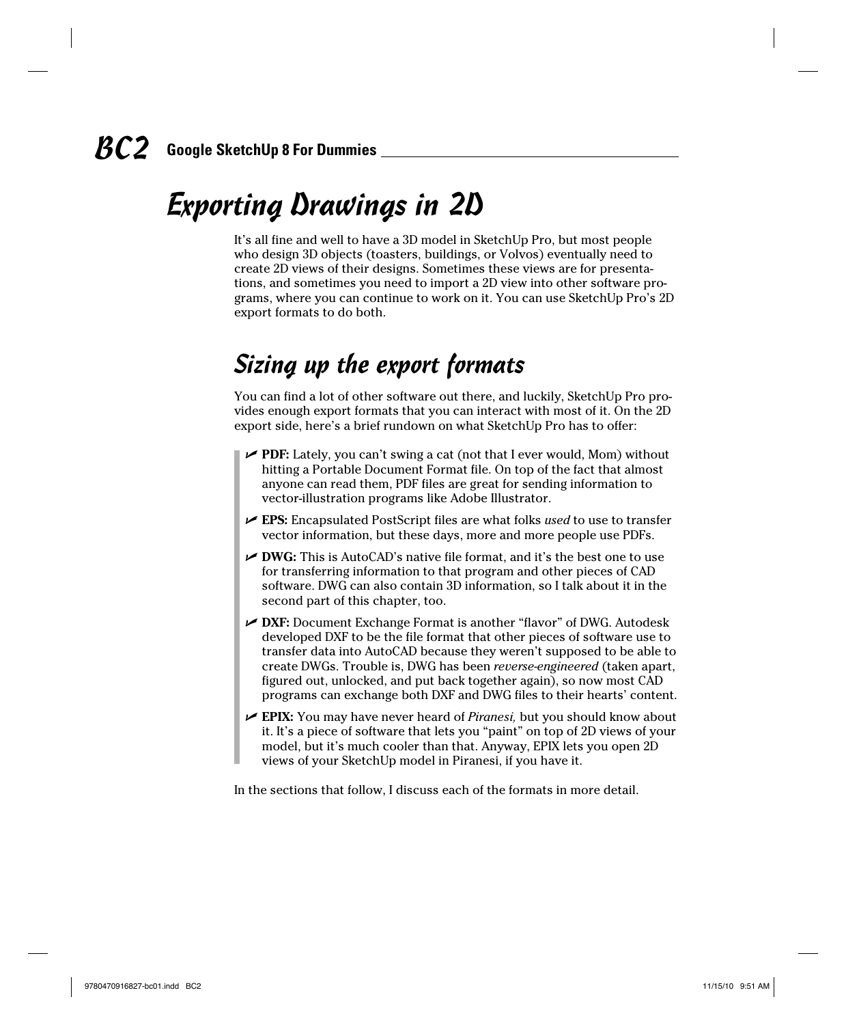# Exporting Drawings in 2D

It's all fine and well to have a 3D model in SketchUp Pro, but most people who design 3D objects (toasters, buildings, or Volvos) eventually need to create 2D views of their designs. Sometimes these views are for presentations, and sometimes you need to import a 2D view into other software programs, where you can continue to work on it. You can use SketchUp Pro's 2D export formats to do both.

# Sizing up the export formats

You can find a lot of other software out there, and luckily, SketchUp Pro provides enough export formats that you can interact with most of it. On the 2D export side, here's a brief rundown on what SketchUp Pro has to offer:

- ✓ **PDF:** Lately, you can't swing a cat (not that I ever would, Mom) without hitting a Portable Document Format file. On top of the fact that almost anyone can read them, PDF files are great for sending information to vector-illustration programs like Adobe Illustrator.
- ✓ **EPS:** Encapsulated PostScript files are what folks *used* to use to transfer vector information, but these days, more and more people use PDFs.
- ✓ **DWG:** This is AutoCAD's native file format, and it's the best one to use for transferring information to that program and other pieces of CAD software. DWG can also contain 3D information, so I talk about it in the second part of this chapter, too.
- ✓ **DXF:** Document Exchange Format is another "flavor" of DWG. Autodesk developed DXF to be the file format that other pieces of software use to transfer data into AutoCAD because they weren't supposed to be able to create DWGs. Trouble is, DWG has been *reverse-engineered* (taken apart, figured out, unlocked, and put back together again), so now most CAD programs can exchange both DXF and DWG files to their hearts' content.
- ✓ **EPIX:** You may have never heard of *Piranesi,* but you should know about it. It's a piece of software that lets you "paint" on top of 2D views of your model, but it's much cooler than that. Anyway, EPIX lets you open 2D views of your SketchUp model in Piranesi, if you have it.

In the sections that follow, I discuss each of the formats in more detail.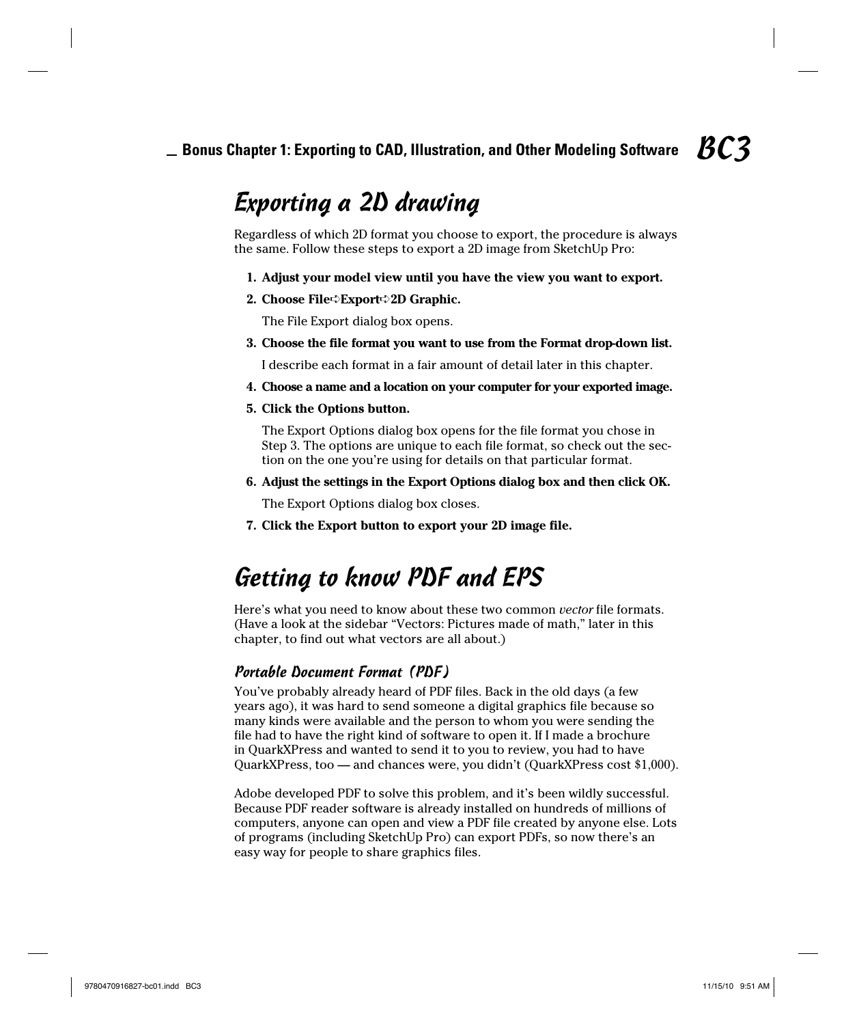# Exporting a 2D drawing

Regardless of which 2D format you choose to export, the procedure is always the same. Follow these steps to export a 2D image from SketchUp Pro:

- **1. Adjust your model view until you have the view you want to export.**
- **2. Choose File**➪**Export**➪**2D Graphic.**

The File Export dialog box opens.

**3. Choose the file format you want to use from the Format drop-down list.**

I describe each format in a fair amount of detail later in this chapter.

- **4. Choose a name and a location on your computer for your exported image.**
- **5. Click the Options button.**

 The Export Options dialog box opens for the file format you chose in Step 3. The options are unique to each file format, so check out the section on the one you're using for details on that particular format.

**6. Adjust the settings in the Export Options dialog box and then click OK.**

The Export Options dialog box closes.

 **7. Click the Export button to export your 2D image file.**

### Getting to know PDF and EPS

Here's what you need to know about these two common *vector* file formats. (Have a look at the sidebar "Vectors: Pictures made of math," later in this chapter, to find out what vectors are all about.)

### Portable Document Format (PDF)

You've probably already heard of PDF files. Back in the old days (a few years ago), it was hard to send someone a digital graphics file because so many kinds were available and the person to whom you were sending the file had to have the right kind of software to open it. If I made a brochure in QuarkXPress and wanted to send it to you to review, you had to have QuarkXPress, too — and chances were, you didn't (QuarkXPress cost \$1,000).

Adobe developed PDF to solve this problem, and it's been wildly successful. Because PDF reader software is already installed on hundreds of millions of computers, anyone can open and view a PDF file created by anyone else. Lots of programs (including SketchUp Pro) can export PDFs, so now there's an easy way for people to share graphics files.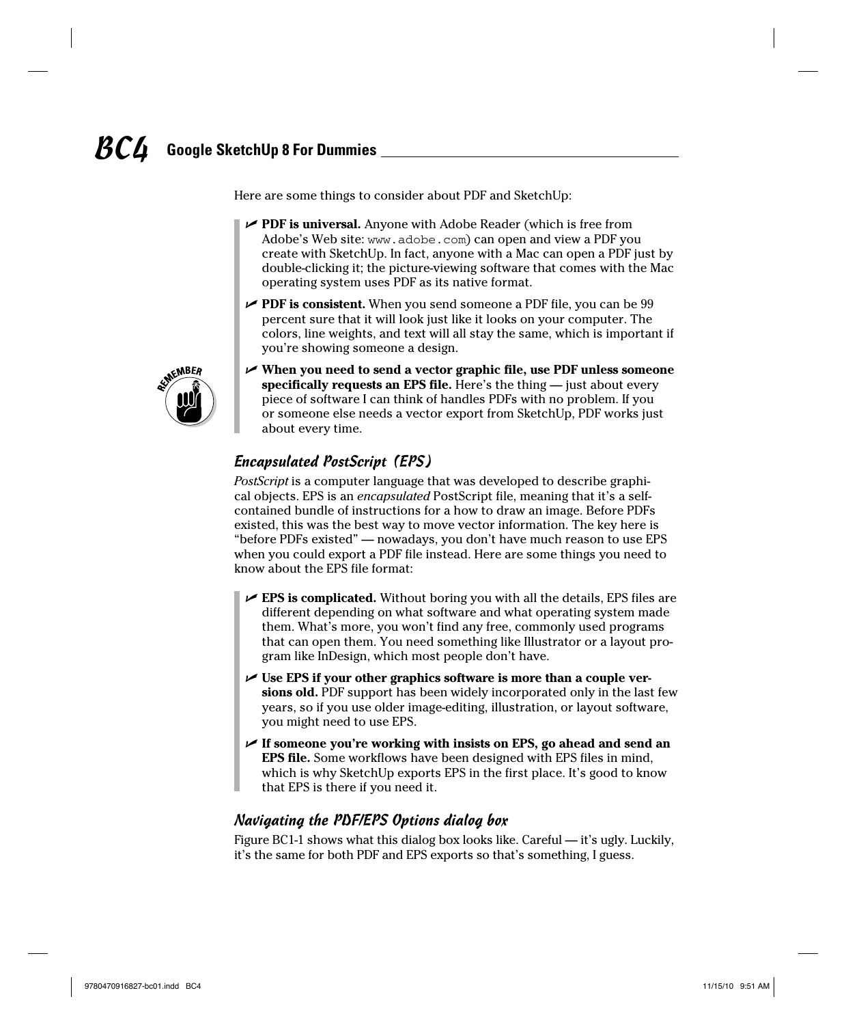Here are some things to consider about PDF and SketchUp:

- ✓ **PDF is universal.** Anyone with Adobe Reader (which is free from Adobe's Web site: www.adobe.com) can open and view a PDF you create with SketchUp. In fact, anyone with a Mac can open a PDF just by double-clicking it; the picture-viewing software that comes with the Mac operating system uses PDF as its native format.
- ✓ **PDF is consistent.** When you send someone a PDF file, you can be 99 percent sure that it will look just like it looks on your computer. The colors, line weights, and text will all stay the same, which is important if you're showing someone a design.
- ✓ **When you need to send a vector graphic file, use PDF unless someone specifically requests an EPS file.** Here's the thing — just about every piece of software I can think of handles PDFs with no problem. If you or someone else needs a vector export from SketchUp, PDF works just about every time.

### Encapsulated PostScript (EPS)

*PostScript* is a computer language that was developed to describe graphical objects. EPS is an *encapsulated* PostScript file, meaning that it's a selfcontained bundle of instructions for a how to draw an image. Before PDFs existed, this was the best way to move vector information. The key here is "before PDFs existed" — nowadays, you don't have much reason to use EPS when you could export a PDF file instead. Here are some things you need to know about the EPS file format:

- ✓ **EPS is complicated.** Without boring you with all the details, EPS files are different depending on what software and what operating system made them. What's more, you won't find any free, commonly used programs that can open them. You need something like Illustrator or a layout program like InDesign, which most people don't have.
- ✓ **Use EPS if your other graphics software is more than a couple versions old.** PDF support has been widely incorporated only in the last few years, so if you use older image-editing, illustration, or layout software, you might need to use EPS.
- ✓ **If someone you're working with insists on EPS, go ahead and send an EPS file.** Some workflows have been designed with EPS files in mind, which is why SketchUp exports EPS in the first place. It's good to know that EPS is there if you need it.

### Navigating the PDF/EPS Options dialog box

Figure BC1-1 shows what this dialog box looks like. Careful — it's ugly. Luckily, it's the same for both PDF and EPS exports so that's something, I guess.

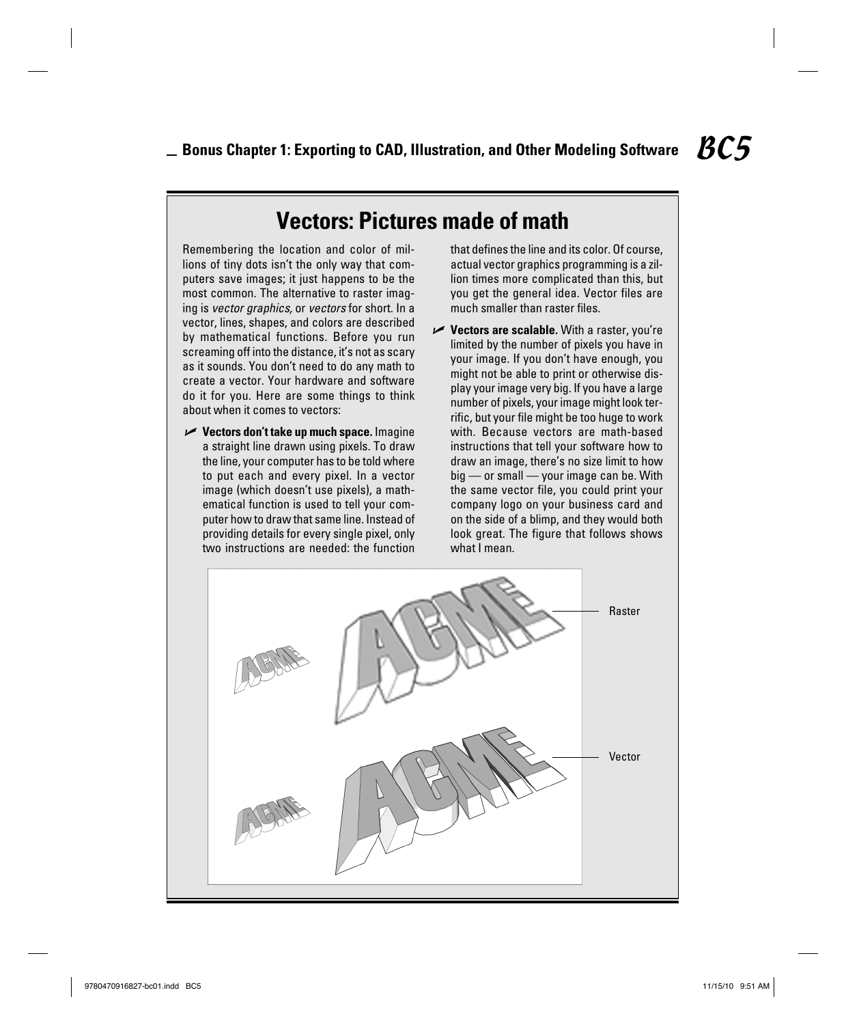### **Vectors: Pictures made of math**

Remembering the location and color of millions of tiny dots isn't the only way that computers save images; it just happens to be the most common. The alternative to raster imaging is vector graphics, or vectors for short. In a vector, lines, shapes, and colors are described by mathematical functions. Before you run screaming off into the distance, it's not as scary as it sounds. You don't need to do any math to create a vector. Your hardware and software do it for you. Here are some things to think about when it comes to vectors:

 ✓ **Vectors don't take up much space.** Imagine a straight line drawn using pixels. To draw the line, your computer has to be told where to put each and every pixel. In a vector image (which doesn't use pixels), a mathematical function is used to tell your computer how to draw that same line. Instead of providing details for every single pixel, only two instructions are needed: the function that defines the line and its color. Of course, actual vector graphics programming is a zillion times more complicated than this, but you get the general idea. Vector files are much smaller than raster files.

 ✓ **Vectors are scalable.** With a raster, you're limited by the number of pixels you have in your image. If you don't have enough, you might not be able to print or otherwise display your image very big. If you have a large number of pixels, your image might look terrific, but your file might be too huge to work with. Because vectors are math-based instructions that tell your software how to draw an image, there's no size limit to how big — or small — your image can be. With the same vector file, you could print your company logo on your business card and on the side of a blimp, and they would both look great. The figure that follows shows what I mean.

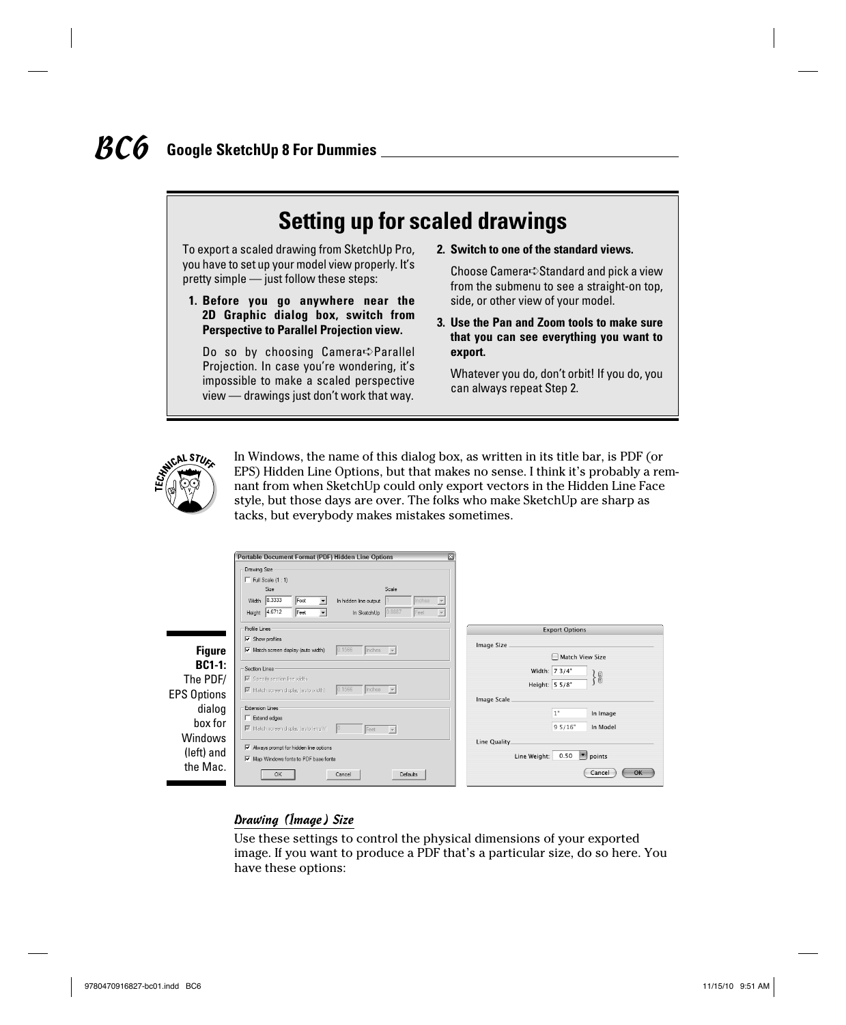### **Setting up for scaled drawings**

To export a scaled drawing from SketchUp Pro, you have to set up your model view properly. It's pretty simple — just follow these steps:

 **1. Before you go anywhere near the 2D Graphic dialog box, switch from Perspective to Parallel Projection view.**

Do so by choosing Camera <sup>→</sup>Parallel Projection. In case you're wondering, it's impossible to make a scaled perspective view — drawings just don't work that way.

 **2. Switch to one of the standard views.**

 Choose Camera➪Standard and pick a view from the submenu to see a straight-on top, side, or other view of your model.

 **3. Use the Pan and Zoom tools to make sure that you can see everything you want to export.**

 Whatever you do, don't orbit! If you do, you can always repeat Step 2.



 $\epsilon_{\rm ph}$  S $\eta_{\rm ph}$  In Windows, the name of this dialog box, as written in its title bar, is PDF (or EPS) Hidden Line Options, but that makes no sense. I think it's probably a remnant from when SketchUp could only export vectors in the Hidden Line Face style, but those days are over. The folks who make SketchUp are sharp as tacks, but everybody makes mistakes sometimes.

|                    | 区<br>Portable Document Format (PDF) Hidden Line Options                                |                                                      |
|--------------------|----------------------------------------------------------------------------------------|------------------------------------------------------|
|                    | Drawing Size                                                                           |                                                      |
|                    | $\Box$ Full Scale (1 : 1)                                                              |                                                      |
|                    | Scale<br>Size                                                                          |                                                      |
|                    | 8.3333<br>Inches<br>Width<br>Feet<br>In hidden line output<br>$\overline{\phantom{a}}$ |                                                      |
|                    | 4.6712<br>Feet<br>0.8887<br>Feet<br>In SketchUp<br>$\overline{\phantom{a}}$<br>Height  |                                                      |
|                    | Profile Lines                                                                          | <b>Export Options</b>                                |
|                    | $\overline{\mathbf{v}}$ Show profiles                                                  | <b>Image Size</b>                                    |
| <b>Figure</b>      | Match screen display (auto width)<br>0.1566<br>Inches<br>$-$                           | Match View Size                                      |
| <b>BC1-1:</b>      | Section Lines                                                                          |                                                      |
| The PDF/           | M Specify section line width                                                           | Width: 7 3/4"<br>}{                                  |
|                    | 0.1566<br>$Inches$ $\blacktriangledown$<br>Match screen display (auto width)           | Height: 5 5/8"                                       |
| <b>EPS Options</b> |                                                                                        | Image Scale.                                         |
| dialog             | <b>Extension Lines</b>                                                                 | 1"                                                   |
| box for            | $\Gamma$ Extend edges                                                                  | In Image                                             |
|                    | Match screen display (auto length)<br>Feet<br>$\vert \vert \vert$                      | 95/16"<br>In Model                                   |
| Windows            |                                                                                        | Line Quality.                                        |
| (left) and         | $\overline{\blacktriangledown}$ Always prompt for hidden line options                  | $\blacktriangleright$ points<br>0.50<br>Line Weight: |
| the Mac.           | Map Windows fonts to PDF base fonts                                                    |                                                      |
|                    | Defaults<br>OK<br>Cancel                                                               | Cancel<br>OK                                         |

#### Drawing (Image) Size

Use these settings to control the physical dimensions of your exported image. If you want to produce a PDF that's a particular size, do so here. You have these options: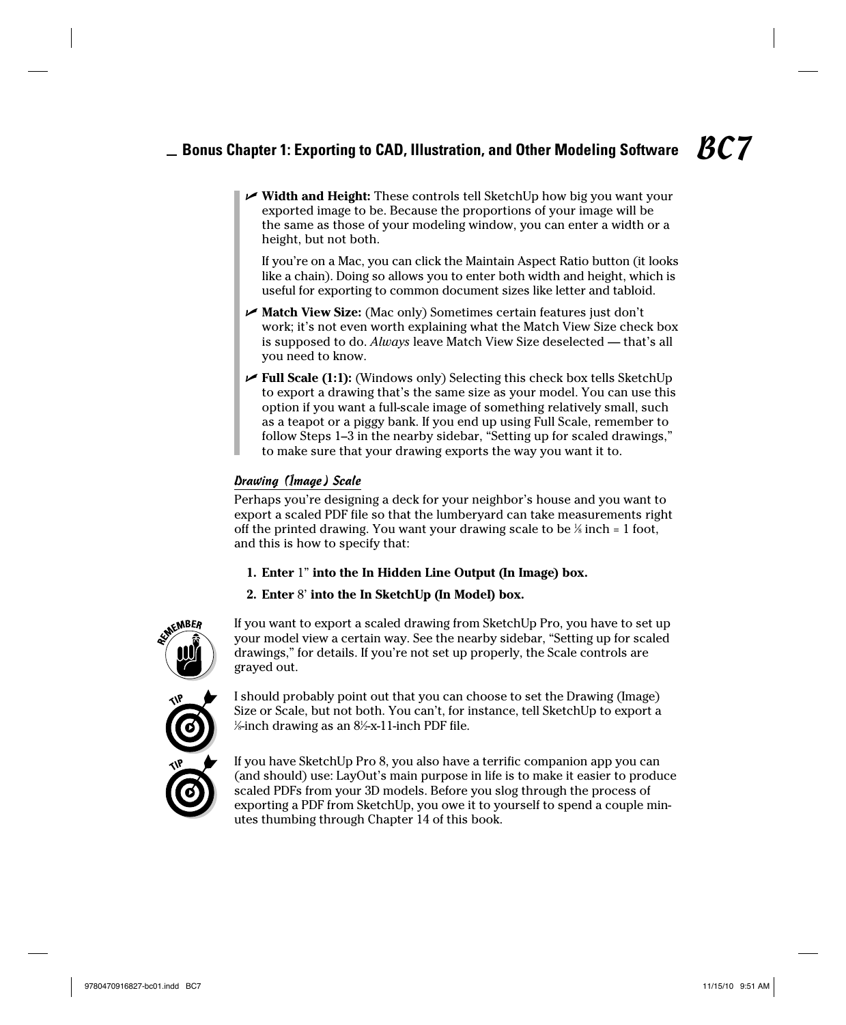### $\sim$  Bonus Chapter 1: Exporting to CAD, Illustration, and Other Modeling Software  $\,$  **BC**  $7$

 ✓ **Width and Height:** These controls tell SketchUp how big you want your exported image to be. Because the proportions of your image will be the same as those of your modeling window, you can enter a width or a height, but not both.

 If you're on a Mac, you can click the Maintain Aspect Ratio button (it looks like a chain). Doing so allows you to enter both width and height, which is useful for exporting to common document sizes like letter and tabloid.

- ✓ **Match View Size:** (Mac only) Sometimes certain features just don't work; it's not even worth explaining what the Match View Size check box is supposed to do. *Always* leave Match View Size deselected — that's all you need to know.
- ✓ **Full Scale (1:1):** (Windows only) Selecting this check box tells SketchUp to export a drawing that's the same size as your model. You can use this option if you want a full-scale image of something relatively small, such as a teapot or a piggy bank. If you end up using Full Scale, remember to follow Steps 1–3 in the nearby sidebar, "Setting up for scaled drawings," to make sure that your drawing exports the way you want it to.

#### Drawing (Image) Scale

Perhaps you're designing a deck for your neighbor's house and you want to export a scaled PDF file so that the lumberyard can take measurements right off the printed drawing. You want your drawing scale to be  $\frac{1}{8}$  inch = 1 foot, and this is how to specify that:

- **1. Enter** 1" **into the In Hidden Line Output (In Image) box.**
- **2. Enter** 8' **into the In SketchUp (In Model) box.**



 If you want to export a scaled drawing from SketchUp Pro, you have to set up your model view a certain way. See the nearby sidebar, "Setting up for scaled drawings," for details. If you're not set up properly, the Scale controls are grayed out.



 I should probably point out that you can choose to set the Drawing (Image) Size or Scale, but not both. You can't, for instance, tell SketchUp to export a 1 ⁄8-inch drawing as an 81 ⁄2-x-11-inch PDF file.

 If you have SketchUp Pro 8, you also have a terrific companion app you can (and should) use: LayOut's main purpose in life is to make it easier to produce scaled PDFs from your 3D models. Before you slog through the process of exporting a PDF from SketchUp, you owe it to yourself to spend a couple minutes thumbing through Chapter 14 of this book.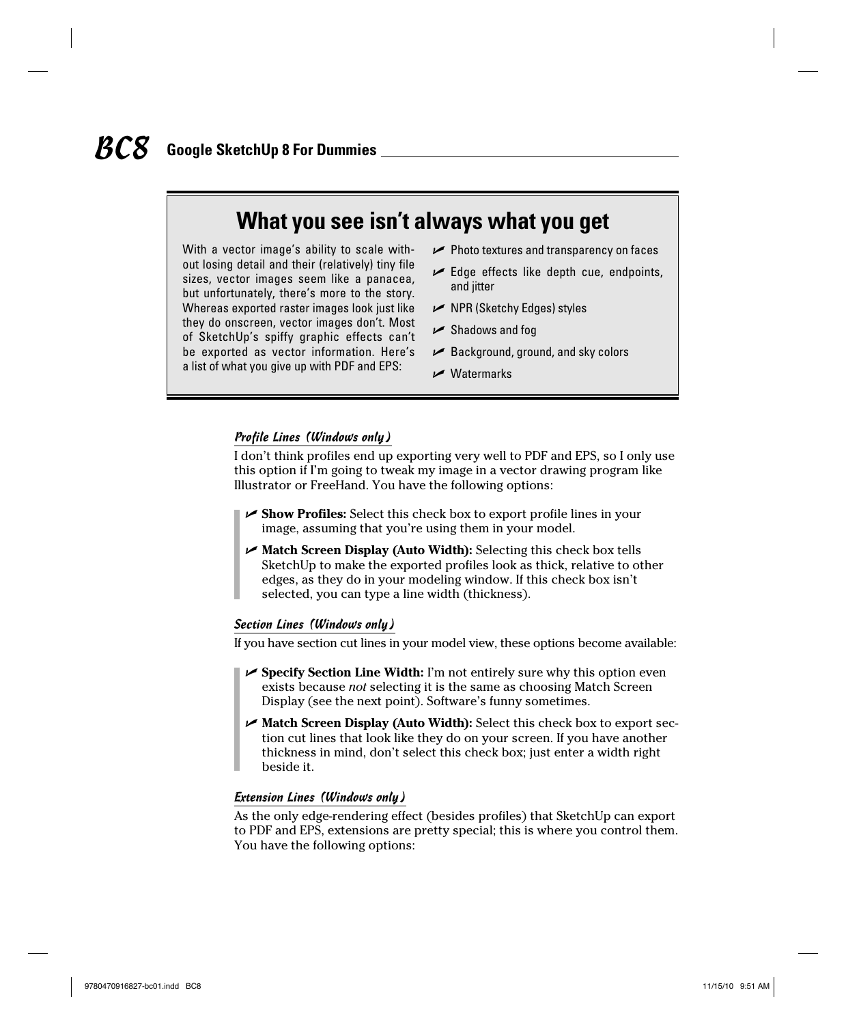### **What you see isn't always what you get**

With a vector image's ability to scale without losing detail and their (relatively) tiny file sizes, vector images seem like a panacea, but unfortunately, there's more to the story. Whereas exported raster images look just like they do onscreen, vector images don't. Most of SketchUp's spiffy graphic effects can't be exported as vector information. Here's a list of what you give up with PDF and EPS:

- ✓ Photo textures and transparency on faces
- $\triangleright$  Edge effects like depth cue, endpoints, and jitter
- ✓ NPR (Sketchy Edges) styles
- $\triangleright$  Shadows and fog
- $\triangleright$  Background, ground, and sky colors
- ✓ Watermarks

#### Profile Lines (Windows only)

I don't think profiles end up exporting very well to PDF and EPS, so I only use this option if I'm going to tweak my image in a vector drawing program like Illustrator or FreeHand. You have the following options:

- ✓ **Show Profiles:** Select this check box to export profile lines in your image, assuming that you're using them in your model.
- ✓ **Match Screen Display (Auto Width):** Selecting this check box tells SketchUp to make the exported profiles look as thick, relative to other edges, as they do in your modeling window. If this check box isn't selected, you can type a line width (thickness).

#### Section Lines (Windows only)

If you have section cut lines in your model view, these options become available:

- ✓ **Specify Section Line Width:** I'm not entirely sure why this option even exists because *not* selecting it is the same as choosing Match Screen Display (see the next point). Software's funny sometimes.
- ✓ **Match Screen Display (Auto Width):** Select this check box to export section cut lines that look like they do on your screen. If you have another thickness in mind, don't select this check box; just enter a width right beside it.

#### Extension Lines (Windows only)

As the only edge-rendering effect (besides profiles) that SketchUp can export to PDF and EPS, extensions are pretty special; this is where you control them. You have the following options: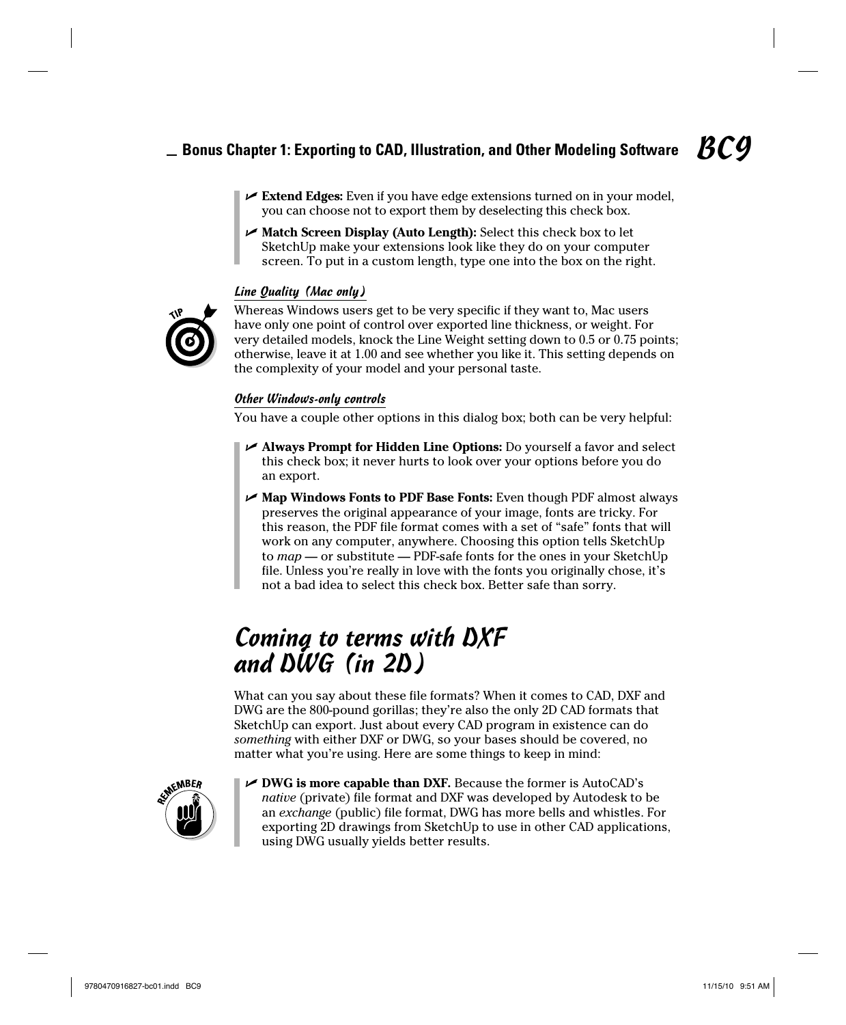- ✓ **Extend Edges:** Even if you have edge extensions turned on in your model, you can choose not to export them by deselecting this check box.
- ✓ **Match Screen Display (Auto Length):** Select this check box to let SketchUp make your extensions look like they do on your computer screen. To put in a custom length, type one into the box on the right.

#### Line Quality (Mac only)



 Whereas Windows users get to be very specific if they want to, Mac users have only one point of control over exported line thickness, or weight. For very detailed models, knock the Line Weight setting down to 0.5 or 0.75 points; otherwise, leave it at 1.00 and see whether you like it. This setting depends on the complexity of your model and your personal taste.

#### Other Windows-only controls

You have a couple other options in this dialog box; both can be very helpful:

- ✓ **Always Prompt for Hidden Line Options:** Do yourself a favor and select this check box; it never hurts to look over your options before you do an export.
- ✓ **Map Windows Fonts to PDF Base Fonts:** Even though PDF almost always preserves the original appearance of your image, fonts are tricky. For this reason, the PDF file format comes with a set of "safe" fonts that will work on any computer, anywhere. Choosing this option tells SketchUp to *map* — or substitute — PDF-safe fonts for the ones in your SketchUp file. Unless you're really in love with the fonts you originally chose, it's not a bad idea to select this check box. Better safe than sorry.

### Coming to terms with DXF and DWG (in 2D)

What can you say about these file formats? When it comes to CAD, DXF and DWG are the 800-pound gorillas; they're also the only 2D CAD formats that SketchUp can export. Just about every CAD program in existence can do *something* with either DXF or DWG, so your bases should be covered, no matter what you're using. Here are some things to keep in mind:



✓ **DWG is more capable than DXF.** Because the former is AutoCAD's *native* (private) file format and DXF was developed by Autodesk to be an *exchange* (public) file format, DWG has more bells and whistles. For exporting 2D drawings from SketchUp to use in other CAD applications, using DWG usually yields better results.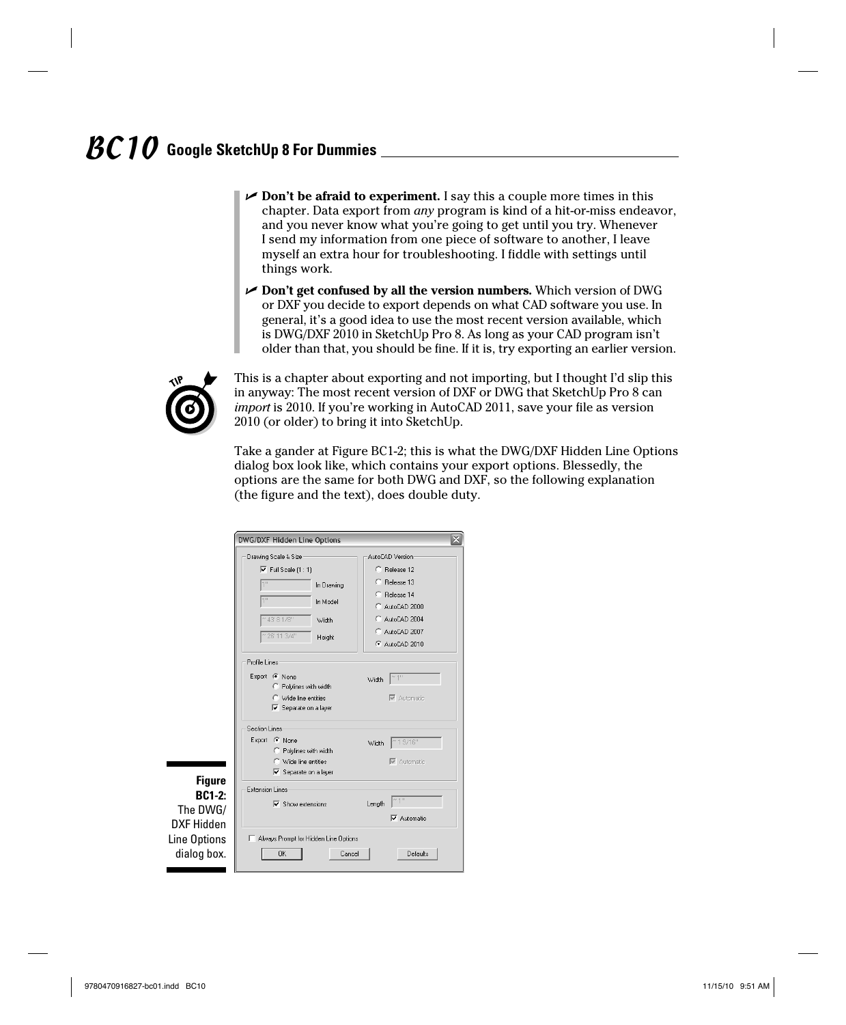- ✓ **Don't be afraid to experiment.** I say this a couple more times in this chapter. Data export from *any* program is kind of a hit-or-miss endeavor, and you never know what you're going to get until you try. Whenever I send my information from one piece of software to another, I leave myself an extra hour for troubleshooting. I fiddle with settings until things work.
- ✓ **Don't get confused by all the version numbers.** Which version of DWG or DXF you decide to export depends on what CAD software you use. In general, it's a good idea to use the most recent version available, which is DWG/DXF 2010 in SketchUp Pro 8. As long as your CAD program isn't older than that, you should be fine. If it is, try exporting an earlier version.



 This is a chapter about exporting and not importing, but I thought I'd slip this in anyway: The most recent version of DXF or DWG that SketchUp Pro 8 can *import* is 2010. If you're working in AutoCAD 2011, save your file as version 2010 (or older) to bring it into SketchUp.

Take a gander at Figure BC1-2; this is what the DWG/DXF Hidden Line Options dialog box look like, which contains your export options. Blessedly, the options are the same for both DWG and DXF, so the following explanation (the figure and the text), does double duty.

|                                                          | <b>DWG/DXF Hidden Line Options</b>                                                                                                                                                        | × |
|----------------------------------------------------------|-------------------------------------------------------------------------------------------------------------------------------------------------------------------------------------------|---|
|                                                          | Drawing Scale & Size<br>AutoCAD Version<br>C Release 12<br>$\overline{\vee}$ Full Scale $(1:1)$                                                                                           |   |
|                                                          | C Release 13<br>qυ<br>In Drawing<br>C Release 14<br>1<br>In Model<br>C AutoCAD 2000<br>C AutoCAD 2004<br>43' 8 1/8"<br>Width<br>C AutoCAD 2007<br>26' 11 3/4"<br>Height<br>C AutoCAD 2010 |   |
|                                                          | Profile Lines<br>Export G None<br>411<br>Width<br>Polylines with width<br>n.<br>C. Wide line entities<br><b>▽</b> Automatic<br>$\nabla$ Separate on a layer                               |   |
|                                                          | Section Lines<br>Export C None<br>19/16"<br>Width<br>C Polvlines with width<br>C Wide line entities<br><b>▽</b> Automatic<br>$\overline{\nabla}$ Separate on a layer                      |   |
| <b>Figure</b><br><b>BC1-2:</b><br>The DWG/<br>DXF Hidden | <b>Extension Lines</b><br>HU.<br>Length<br>$\nabla$ Show extensions<br>$\nabla$ Automatic                                                                                                 |   |
| Line Options<br>dialog box.                              | Always Prompt for Hidden Line Options<br>Cancel<br>Defaults<br>ΠK                                                                                                                         |   |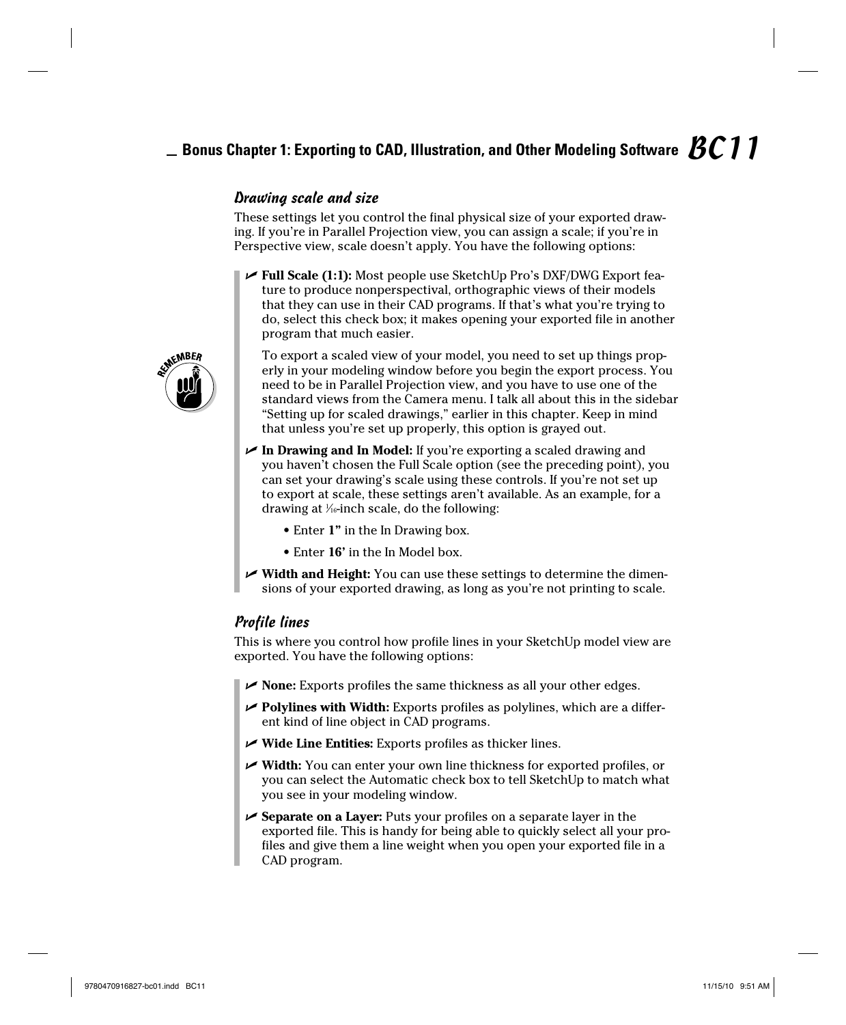### $\_$  Bonus Chapter 1: Exporting to CAD, Illustration, and Other Modeling Software  $\bm{\mathcal{BC}}$  1  $\bm{\mathcal{I}}$

#### Drawing scale and size

These settings let you control the final physical size of your exported drawing. If you're in Parallel Projection view, you can assign a scale; if you're in Perspective view, scale doesn't apply. You have the following options:

 ✓ **Full Scale (1:1):** Most people use SketchUp Pro's DXF/DWG Export feature to produce nonperspectival, orthographic views of their models that they can use in their CAD programs. If that's what you're trying to do, select this check box; it makes opening your exported file in another program that much easier.

 To export a scaled view of your model, you need to set up things properly in your modeling window before you begin the export process. You need to be in Parallel Projection view, and you have to use one of the standard views from the Camera menu. I talk all about this in the sidebar "Setting up for scaled drawings," earlier in this chapter. Keep in mind that unless you're set up properly, this option is grayed out.

- ✓ **In Drawing and In Model:** If you're exporting a scaled drawing and you haven't chosen the Full Scale option (see the preceding point), you can set your drawing's scale using these controls. If you're not set up to export at scale, these settings aren't available. As an example, for a drawing at  $\frac{1}{6}$ -inch scale, do the following:
	- Enter **1"** in the In Drawing box.
	- Enter **16'** in the In Model box.
- ✓ **Width and Height:** You can use these settings to determine the dimensions of your exported drawing, as long as you're not printing to scale.

#### Profile lines

This is where you control how profile lines in your SketchUp model view are exported. You have the following options:

- ✓ **None:** Exports profiles the same thickness as all your other edges.
- ✓ **Polylines with Width:** Exports profiles as polylines, which are a different kind of line object in CAD programs.
- ✓ **Wide Line Entities:** Exports profiles as thicker lines.
- ✓ **Width:** You can enter your own line thickness for exported profiles, or you can select the Automatic check box to tell SketchUp to match what you see in your modeling window.
- ✓ **Separate on a Layer:** Puts your profiles on a separate layer in the exported file. This is handy for being able to quickly select all your profiles and give them a line weight when you open your exported file in a CAD program.

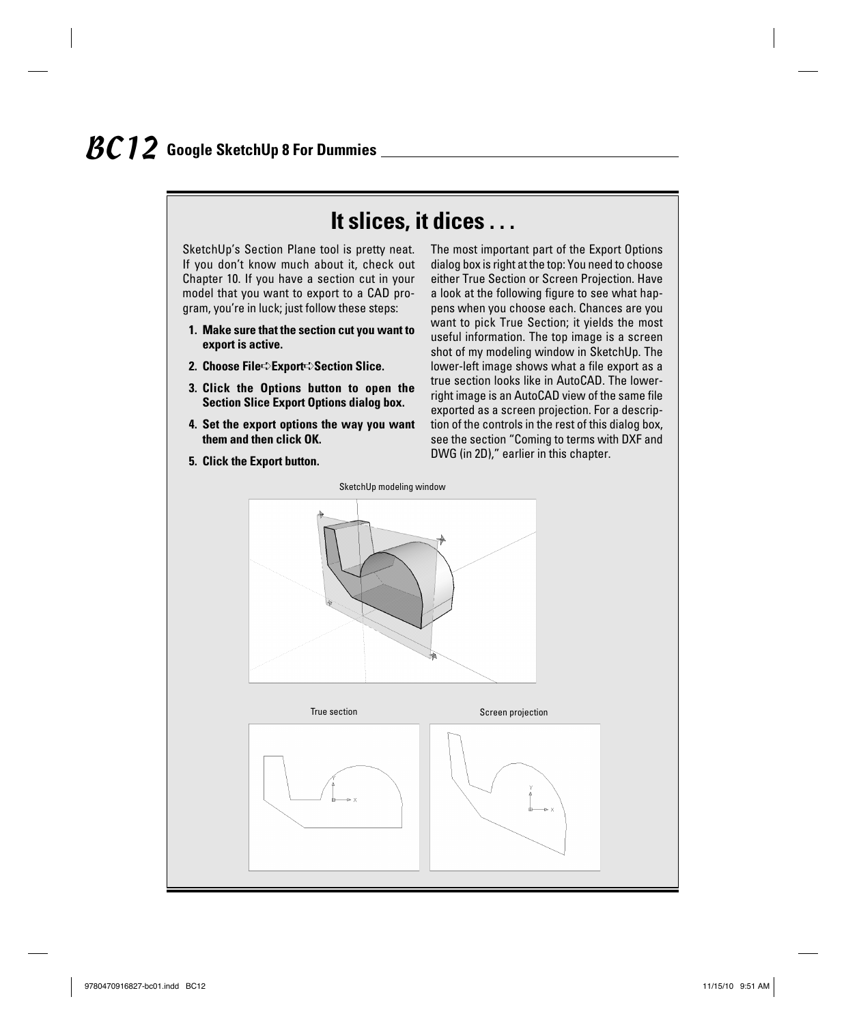### **It slices, it dices . . .**

SketchUp's Section Plane tool is pretty neat. If you don't know much about it, check out Chapter 10. If you have a section cut in your model that you want to export to a CAD program, you're in luck; just follow these steps:

- **1. Make sure that the section cut you want to export is active.**
- **2. Choose File**➪**Export**➪**Section Slice.**
- **3. Click the Options button to open the Section Slice Export Options dialog box.**
- **4. Set the export options the way you want them and then click OK.**
- **5. Click the Export button.**

The most important part of the Export Options dialog box is right at the top: You need to choose either True Section or Screen Projection. Have a look at the following figure to see what happens when you choose each. Chances are you want to pick True Section; it yields the most useful information. The top image is a screen shot of my modeling window in SketchUp. The lower-left image shows what a file export as a true section looks like in AutoCAD. The lowerright image is an AutoCAD view of the same file exported as a screen projection. For a description of the controls in the rest of this dialog box, see the section "Coming to terms with DXF and DWG (in 2D)," earlier in this chapter.



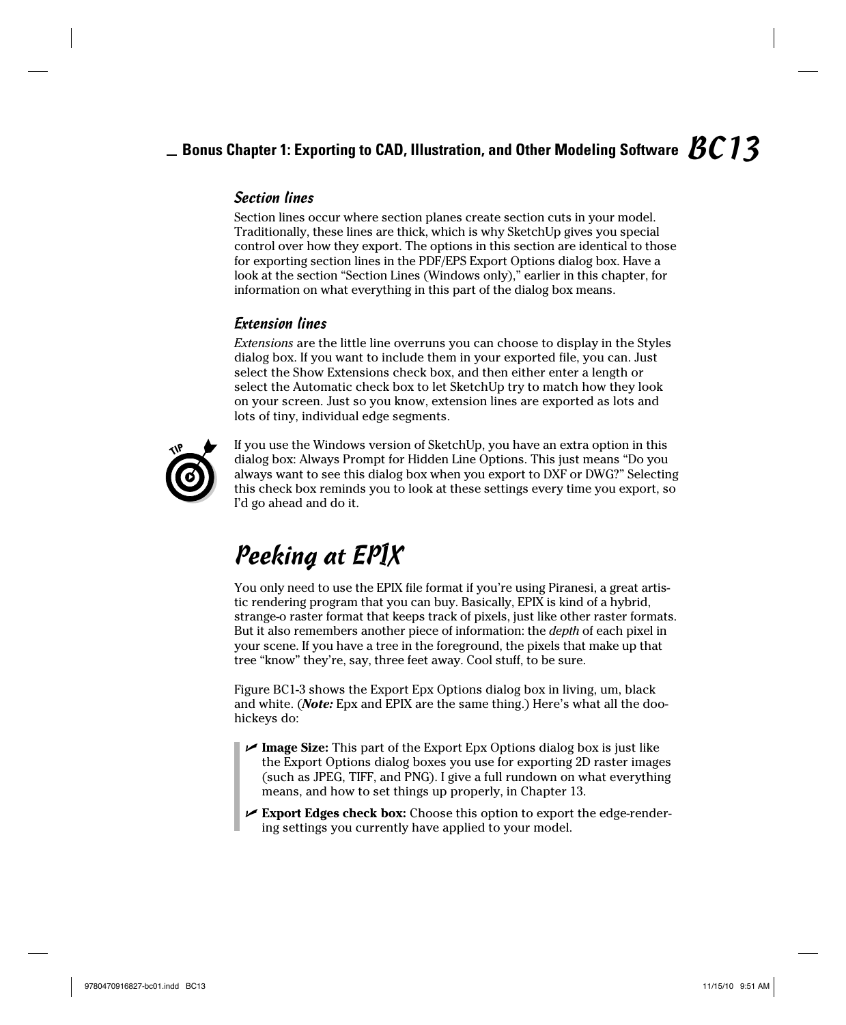### $\_$  Bonus Chapter 1: Exporting to CAD, Illustration, and Other Modeling Software  $\bm{\mathcal{BC}}$  1  $\bm{\mathsf{3}}$

#### Section lines

Section lines occur where section planes create section cuts in your model. Traditionally, these lines are thick, which is why SketchUp gives you special control over how they export. The options in this section are identical to those for exporting section lines in the PDF/EPS Export Options dialog box. Have a look at the section "Section Lines (Windows only)," earlier in this chapter, for information on what everything in this part of the dialog box means.

#### Extension lines

*Extensions* are the little line overruns you can choose to display in the Styles dialog box. If you want to include them in your exported file, you can. Just select the Show Extensions check box, and then either enter a length or select the Automatic check box to let SketchUp try to match how they look on your screen. Just so you know, extension lines are exported as lots and lots of tiny, individual edge segments.



 If you use the Windows version of SketchUp, you have an extra option in this dialog box: Always Prompt for Hidden Line Options. This just means "Do you always want to see this dialog box when you export to DXF or DWG?" Selecting this check box reminds you to look at these settings every time you export, so I'd go ahead and do it.

### Peeking at EPIX

You only need to use the EPIX file format if you're using Piranesi, a great artistic rendering program that you can buy. Basically, EPIX is kind of a hybrid, strange-o raster format that keeps track of pixels, just like other raster formats. But it also remembers another piece of information: the *depth* of each pixel in your scene. If you have a tree in the foreground, the pixels that make up that tree "know" they're, say, three feet away. Cool stuff, to be sure.

Figure BC1-3 shows the Export Epx Options dialog box in living, um, black and white. (*Note:* Epx and EPIX are the same thing.) Here's what all the doohickeys do:

- ✓ **Image Size:** This part of the Export Epx Options dialog box is just like the Export Options dialog boxes you use for exporting 2D raster images (such as JPEG, TIFF, and PNG). I give a full rundown on what everything means, and how to set things up properly, in Chapter 13.
- ✓ **Export Edges check box:** Choose this option to export the edge-rendering settings you currently have applied to your model.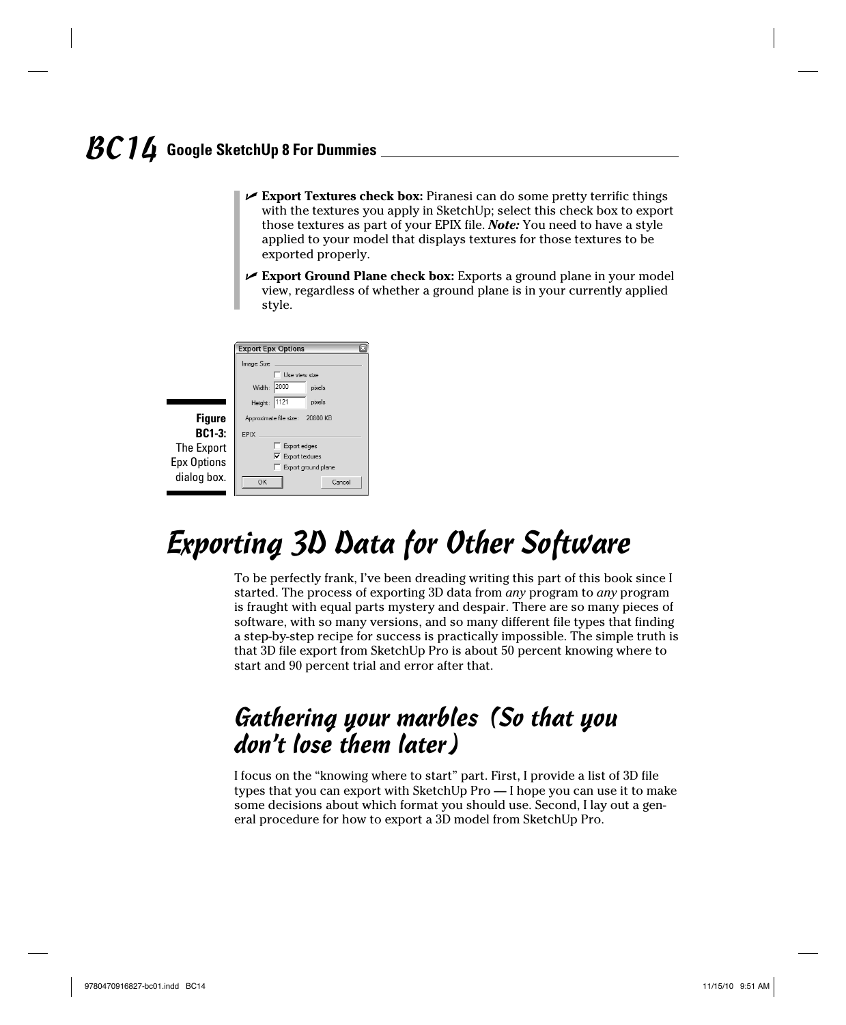- ✓ **Export Textures check box:** Piranesi can do some pretty terrific things with the textures you apply in SketchUp; select this check box to export those textures as part of your EPIX file. *Note:* You need to have a style applied to your model that displays textures for those textures to be exported properly.
- ✓ **Export Ground Plane check box:** Exports a ground plane in your model view, regardless of whether a ground plane is in your currently applied style.

|                    | ß<br><b>Export Epx Options</b>          |  |  |
|--------------------|-----------------------------------------|--|--|
|                    | Image Size                              |  |  |
|                    | Use view size                           |  |  |
|                    | 2000<br>Width:<br>pixels                |  |  |
|                    | 1121<br>pixels<br>Height:               |  |  |
| <b>Figure</b>      | 20800 KB<br>Approximate file size:      |  |  |
| <b>BC1-3:</b>      | <b>FPIX</b>                             |  |  |
| The Export         | Export edges                            |  |  |
|                    | $\overline{\mathbf{v}}$ Export textures |  |  |
| <b>Epx Options</b> | Export ground plane                     |  |  |
| dialog box.        | OK<br>Cancel                            |  |  |

# Exporting 3D Data for Other Software

To be perfectly frank, I've been dreading writing this part of this book since I started. The process of exporting 3D data from *any* program to *any* program is fraught with equal parts mystery and despair. There are so many pieces of software, with so many versions, and so many different file types that finding a step-by-step recipe for success is practically impossible. The simple truth is that 3D file export from SketchUp Pro is about 50 percent knowing where to start and 90 percent trial and error after that.

### Gathering your marbles (So that you don't lose them later)

I focus on the "knowing where to start" part. First, I provide a list of 3D file types that you can export with SketchUp Pro — I hope you can use it to make some decisions about which format you should use. Second, I lay out a general procedure for how to export a 3D model from SketchUp Pro.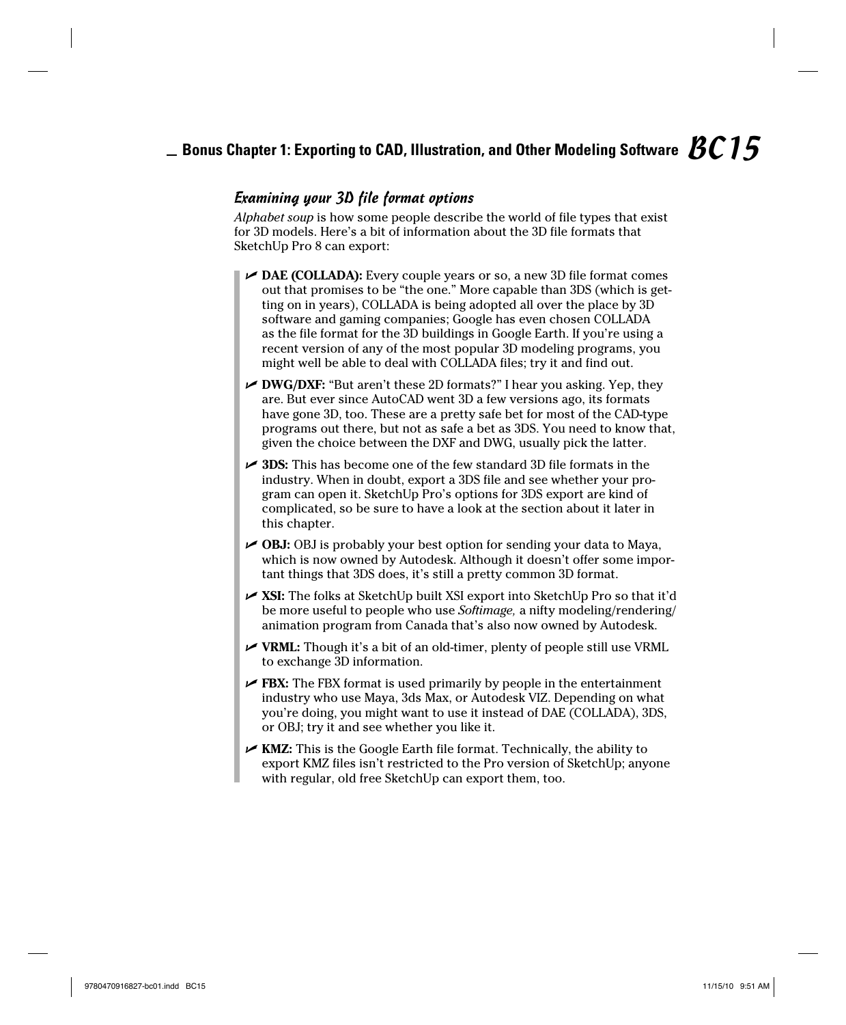### $\sim$  Bonus Chapter 1: Exporting to CAD, Illustration, and Other Modeling Software  $\bm{\mathcal{B}\mathcal{C}}$  1  $\bm{\mathsf{S}}$

#### Examining your 3D file format options

*Alphabet soup* is how some people describe the world of file types that exist for 3D models. Here's a bit of information about the 3D file formats that SketchUp Pro 8 can export:

- ✓ **DAE (COLLADA):** Every couple years or so, a new 3D file format comes out that promises to be "the one." More capable than 3DS (which is getting on in years), COLLADA is being adopted all over the place by 3D software and gaming companies; Google has even chosen COLLADA as the file format for the 3D buildings in Google Earth. If you're using a recent version of any of the most popular 3D modeling programs, you might well be able to deal with COLLADA files; try it and find out.
- ✓ **DWG/DXF:** "But aren't these 2D formats?" I hear you asking. Yep, they are. But ever since AutoCAD went 3D a few versions ago, its formats have gone 3D, too. These are a pretty safe bet for most of the CAD-type programs out there, but not as safe a bet as 3DS. You need to know that, given the choice between the DXF and DWG, usually pick the latter.
- ✓ **3DS:** This has become one of the few standard 3D file formats in the industry. When in doubt, export a 3DS file and see whether your program can open it. SketchUp Pro's options for 3DS export are kind of complicated, so be sure to have a look at the section about it later in this chapter.
- ✓ **OBJ:** OBJ is probably your best option for sending your data to Maya, which is now owned by Autodesk. Although it doesn't offer some important things that 3DS does, it's still a pretty common 3D format.
- ✓ **XSI:** The folks at SketchUp built XSI export into SketchUp Pro so that it'd be more useful to people who use *Softimage,* a nifty modeling/rendering/ animation program from Canada that's also now owned by Autodesk.
- ✓ **VRML:** Though it's a bit of an old-timer, plenty of people still use VRML to exchange 3D information.
- ✓ **FBX:** The FBX format is used primarily by people in the entertainment industry who use Maya, 3ds Max, or Autodesk VIZ. Depending on what you're doing, you might want to use it instead of DAE (COLLADA), 3DS, or OBJ; try it and see whether you like it.
- ✓ **KMZ:** This is the Google Earth file format. Technically, the ability to export KMZ files isn't restricted to the Pro version of SketchUp; anyone with regular, old free SketchUp can export them, too.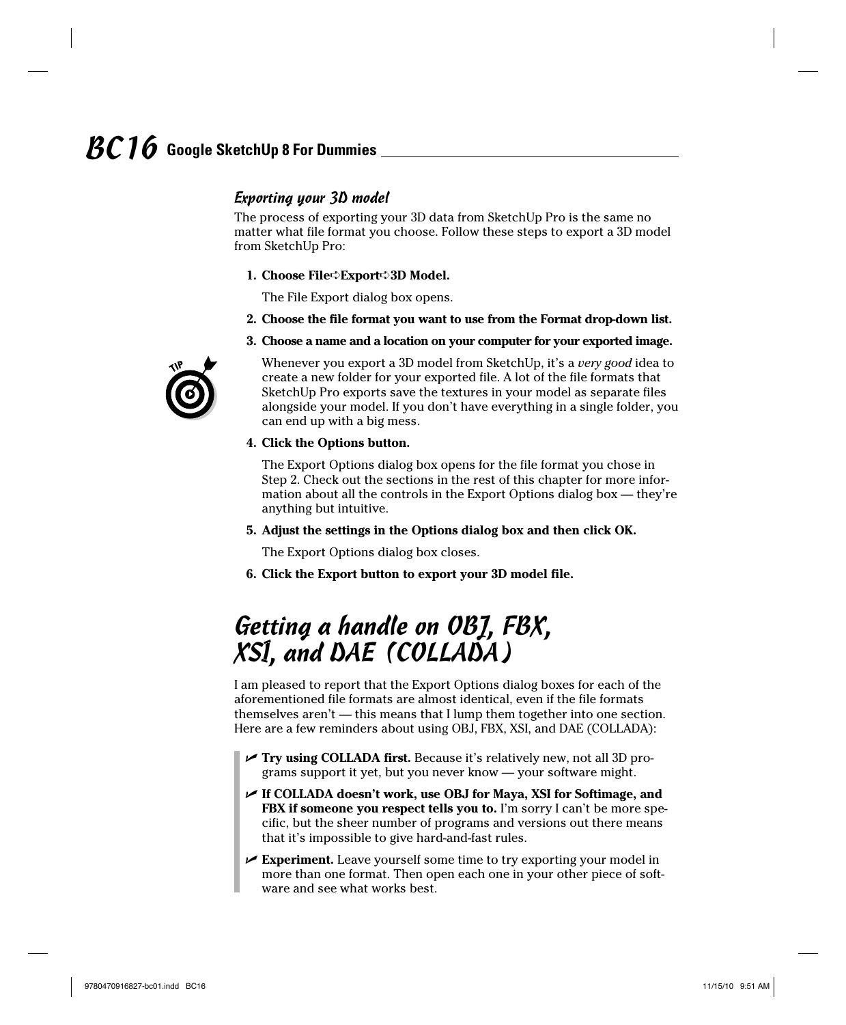### Exporting your 3D model

The process of exporting your 3D data from SketchUp Pro is the same no matter what file format you choose. Follow these steps to export a 3D model from SketchUp Pro:

#### **1. Choose File**➪**Export**➪**3D Model.**

The File Export dialog box opens.

- **2. Choose the file format you want to use from the Format drop-down list.**
- **3. Choose a name and a location on your computer for your exported image.**



 Whenever you export a 3D model from SketchUp, it's a *very good* idea to create a new folder for your exported file. A lot of the file formats that SketchUp Pro exports save the textures in your model as separate files alongside your model. If you don't have everything in a single folder, you can end up with a big mess.

#### **4. Click the Options button.**

 The Export Options dialog box opens for the file format you chose in Step 2. Check out the sections in the rest of this chapter for more information about all the controls in the Export Options dialog box — they're anything but intuitive.

**5. Adjust the settings in the Options dialog box and then click OK.**

The Export Options dialog box closes.

 **6. Click the Export button to export your 3D model file.**

### Getting a handle on OBJ, FBX, XSI, and DAE (COLLADA)

I am pleased to report that the Export Options dialog boxes for each of the aforementioned file formats are almost identical, even if the file formats themselves aren't — this means that I lump them together into one section. Here are a few reminders about using OBJ, FBX, XSI, and DAE (COLLADA):

- ✓ **Try using COLLADA first.** Because it's relatively new, not all 3D programs support it yet, but you never know — your software might.
- ✓ **If COLLADA doesn't work, use OBJ for Maya, XSI for Softimage, and FBX if someone you respect tells you to.** I'm sorry I can't be more specific, but the sheer number of programs and versions out there means that it's impossible to give hard-and-fast rules.
- ✓ **Experiment.** Leave yourself some time to try exporting your model in more than one format. Then open each one in your other piece of software and see what works best.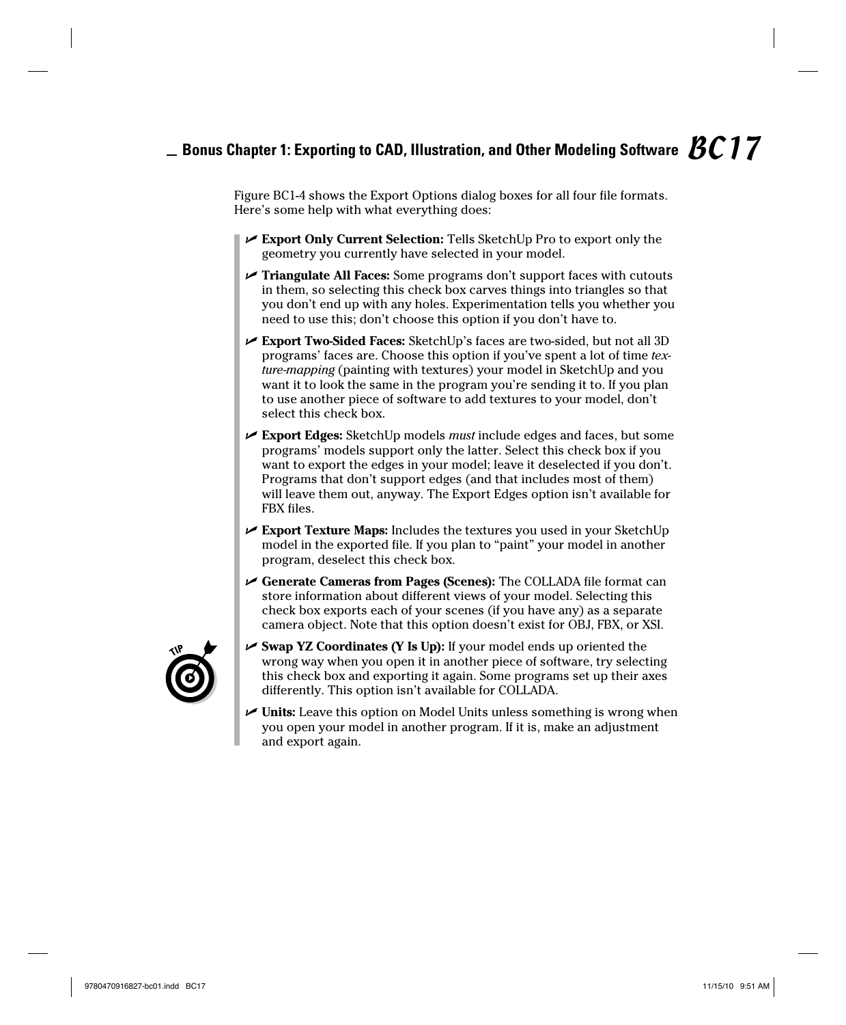Figure BC1-4 shows the Export Options dialog boxes for all four file formats. Here's some help with what everything does:

- ✓ **Export Only Current Selection:** Tells SketchUp Pro to export only the geometry you currently have selected in your model.
- ✓ **Triangulate All Faces:** Some programs don't support faces with cutouts in them, so selecting this check box carves things into triangles so that you don't end up with any holes. Experimentation tells you whether you need to use this; don't choose this option if you don't have to.
- ✓ **Export Two-Sided Faces:** SketchUp's faces are two-sided, but not all 3D programs' faces are. Choose this option if you've spent a lot of time *texture-mapping* (painting with textures) your model in SketchUp and you want it to look the same in the program you're sending it to. If you plan to use another piece of software to add textures to your model, don't select this check box.
- ✓ **Export Edges:** SketchUp models *must* include edges and faces, but some programs' models support only the latter. Select this check box if you want to export the edges in your model; leave it deselected if you don't. Programs that don't support edges (and that includes most of them) will leave them out, anyway. The Export Edges option isn't available for FBX files.
- ✓ **Export Texture Maps:** Includes the textures you used in your SketchUp model in the exported file. If you plan to "paint" your model in another program, deselect this check box.
- ✓ **Generate Cameras from Pages (Scenes):** The COLLADA file format can store information about different views of your model. Selecting this check box exports each of your scenes (if you have any) as a separate camera object. Note that this option doesn't exist for OBJ, FBX, or XSI.



- ✓ **Swap YZ Coordinates (Y Is Up):** If your model ends up oriented the wrong way when you open it in another piece of software, try selecting this check box and exporting it again. Some programs set up their axes differently. This option isn't available for COLLADA.
- ✓ **Units:** Leave this option on Model Units unless something is wrong when you open your model in another program. If it is, make an adjustment and export again.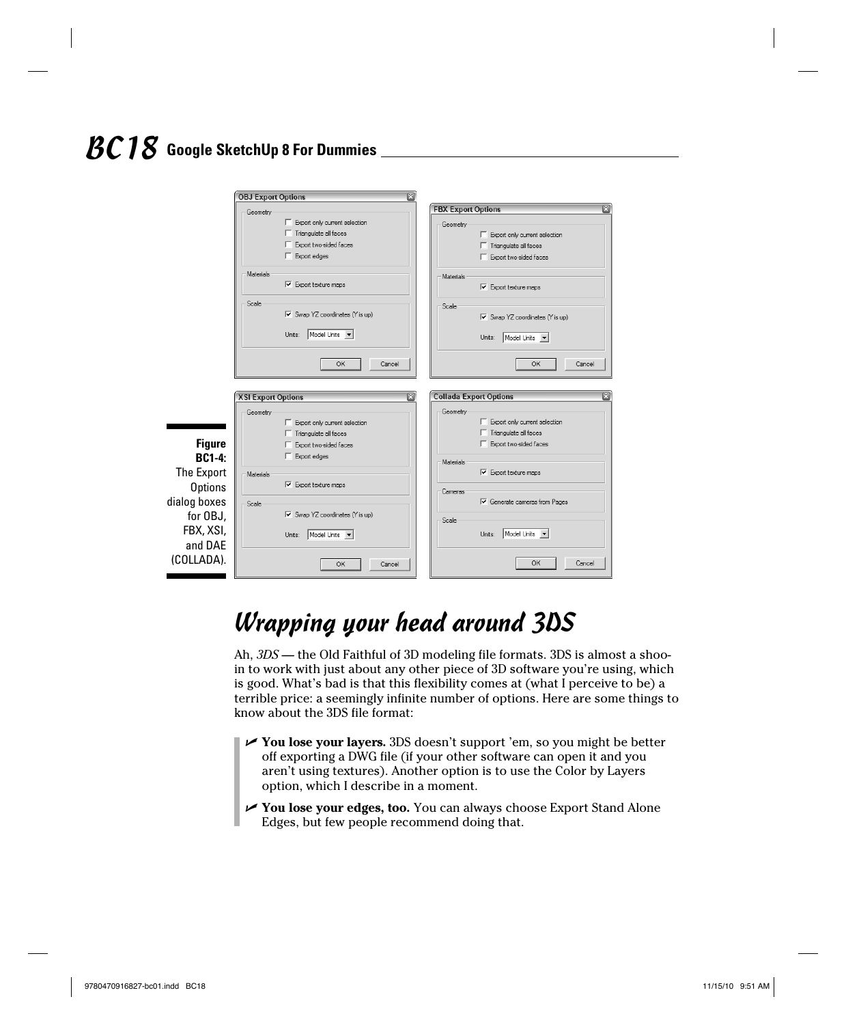# BC18 **Google SketchUp 8 For Dummies**



# Wrapping your head around 3DS

Ah, *3DS* — the Old Faithful of 3D modeling file formats. 3DS is almost a shooin to work with just about any other piece of 3D software you're using, which is good. What's bad is that this flexibility comes at (what I perceive to be) a terrible price: a seemingly infinite number of options. Here are some things to know about the 3DS file format:

- ✓ **You lose your layers.** 3DS doesn't support 'em, so you might be better off exporting a DWG file (if your other software can open it and you aren't using textures). Another option is to use the Color by Layers option, which I describe in a moment.
- ✓ **You lose your edges, too.** You can always choose Export Stand Alone Edges, but few people recommend doing that.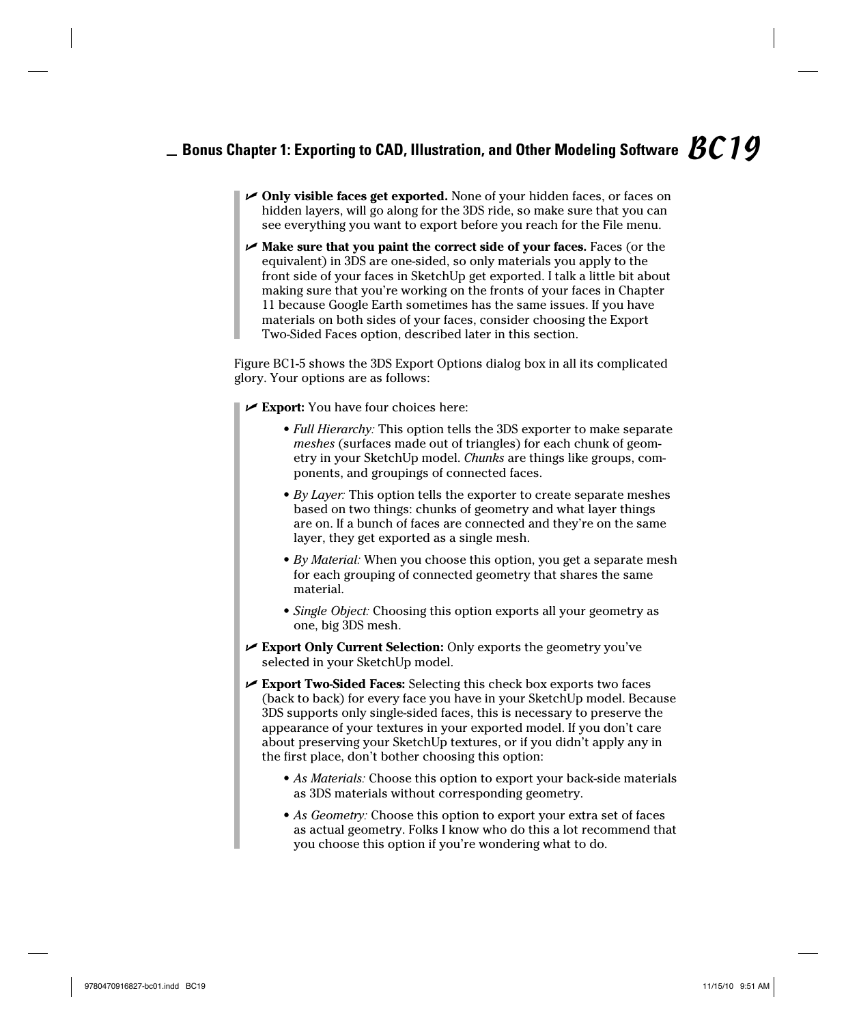- ✓ **Only visible faces get exported.** None of your hidden faces, or faces on hidden layers, will go along for the 3DS ride, so make sure that you can see everything you want to export before you reach for the File menu.
- ✓ **Make sure that you paint the correct side of your faces.** Faces (or the equivalent) in 3DS are one-sided, so only materials you apply to the front side of your faces in SketchUp get exported. I talk a little bit about making sure that you're working on the fronts of your faces in Chapter 11 because Google Earth sometimes has the same issues. If you have materials on both sides of your faces, consider choosing the Export Two-Sided Faces option, described later in this section.

Figure BC1-5 shows the 3DS Export Options dialog box in all its complicated glory. Your options are as follows:

- ✓ **Export:** You have four choices here:
	- *Full Hierarchy:* This option tells the 3DS exporter to make separate *meshes* (surfaces made out of triangles) for each chunk of geometry in your SketchUp model. *Chunks* are things like groups, components, and groupings of connected faces.
	- • *By Layer:* This option tells the exporter to create separate meshes based on two things: chunks of geometry and what layer things are on. If a bunch of faces are connected and they're on the same layer, they get exported as a single mesh.
	- *By Material:* When you choose this option, you get a separate mesh for each grouping of connected geometry that shares the same material.
	- *Single Object:* Choosing this option exports all your geometry as one, big 3DS mesh.
- ✓ **Export Only Current Selection:** Only exports the geometry you've selected in your SketchUp model.
- ✓ **Export Two-Sided Faces:** Selecting this check box exports two faces (back to back) for every face you have in your SketchUp model. Because 3DS supports only single-sided faces, this is necessary to preserve the appearance of your textures in your exported model. If you don't care about preserving your SketchUp textures, or if you didn't apply any in the first place, don't bother choosing this option:
	- *As Materials:* Choose this option to export your back-side materials as 3DS materials without corresponding geometry.
	- *As Geometry:* Choose this option to export your extra set of faces as actual geometry. Folks I know who do this a lot recommend that you choose this option if you're wondering what to do.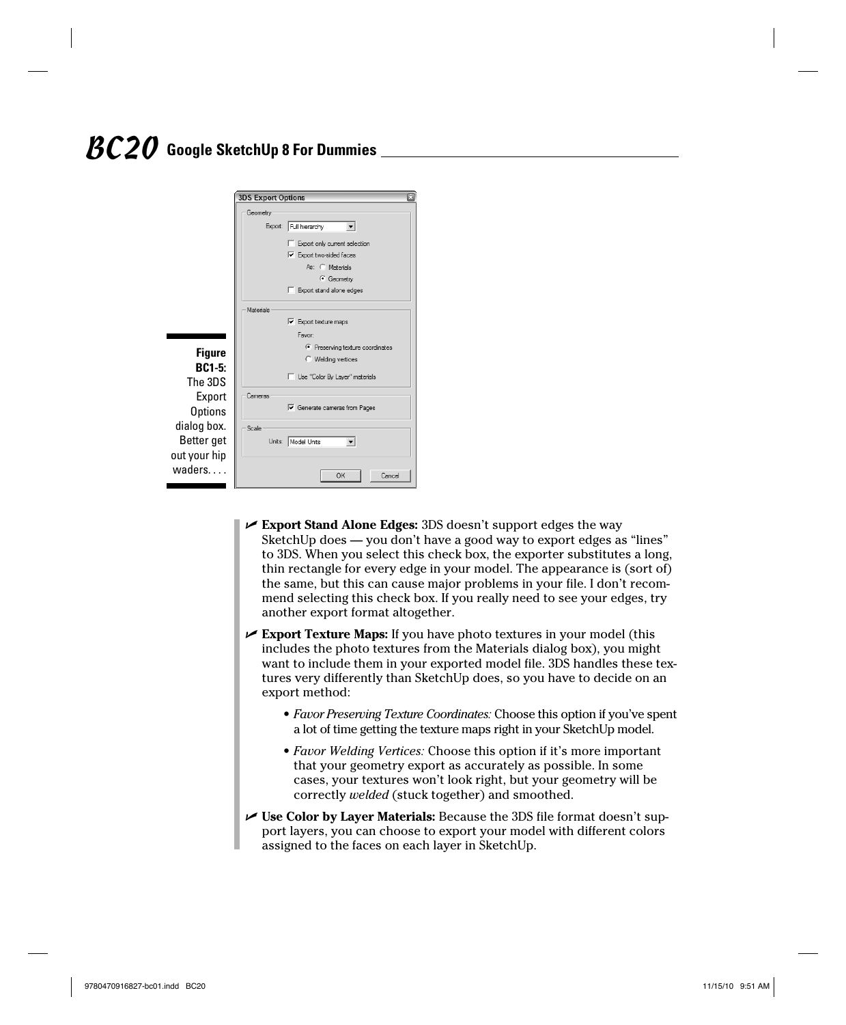# BC20 **Google SketchUp 8 For Dummies**

| ×<br><b>3DS Export Options</b> |                                                                  |  |  |
|--------------------------------|------------------------------------------------------------------|--|--|
|                                | Geometry                                                         |  |  |
|                                | Export: Full hierarchy                                           |  |  |
|                                |                                                                  |  |  |
|                                | Export only current selection<br>$\nabla$ Export two-sided faces |  |  |
|                                | As: C Materials                                                  |  |  |
|                                | G Geometry                                                       |  |  |
|                                | Export stand alone edges                                         |  |  |
|                                |                                                                  |  |  |
|                                | Materials                                                        |  |  |
|                                | $\overline{\nabla}$ Export texture maps                          |  |  |
|                                | Favor:                                                           |  |  |
| <b>Figure</b>                  | Preserving texture coordinates                                   |  |  |
| <b>BC1-5:</b>                  | C Welding vertices                                               |  |  |
|                                | Use "Color By Layer" materials                                   |  |  |
| The 3DS                        |                                                                  |  |  |
| Export                         | Cameras                                                          |  |  |
| Options                        | $\overline{\mathbf{v}}$ Generate cameras from Pages              |  |  |
| dialog box.                    | Scale                                                            |  |  |
| Better get                     | Units: Model Units                                               |  |  |
| out your hip                   |                                                                  |  |  |
| $waders. \ldots$               |                                                                  |  |  |
|                                | OK<br>Cancel                                                     |  |  |
|                                |                                                                  |  |  |

- ✓ **Export Stand Alone Edges:** 3DS doesn't support edges the way SketchUp does — you don't have a good way to export edges as "lines" to 3DS. When you select this check box, the exporter substitutes a long, thin rectangle for every edge in your model. The appearance is (sort of) the same, but this can cause major problems in your file. I don't recommend selecting this check box. If you really need to see your edges, try another export format altogether.
- ✓ **Export Texture Maps:** If you have photo textures in your model (this includes the photo textures from the Materials dialog box), you might want to include them in your exported model file. 3DS handles these textures very differently than SketchUp does, so you have to decide on an export method:
	- *Favor Preserving Texture Coordinates:* Choose this option if you've spent a lot of time getting the texture maps right in your SketchUp model.
	- *Favor Welding Vertices:* Choose this option if it's more important that your geometry export as accurately as possible. In some cases, your textures won't look right, but your geometry will be correctly *welded* (stuck together) and smoothed.
- ✓ **Use Color by Layer Materials:** Because the 3DS file format doesn't support layers, you can choose to export your model with different colors assigned to the faces on each layer in SketchUp.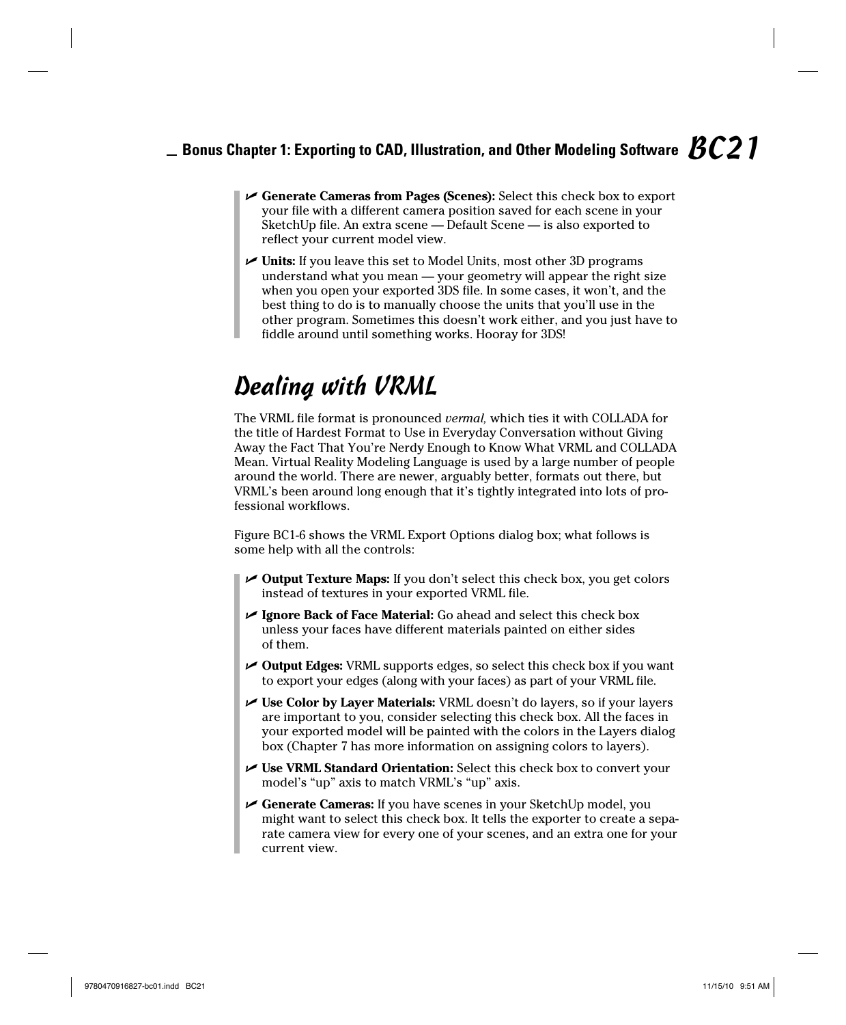- ✓ **Generate Cameras from Pages (Scenes):** Select this check box to export your file with a different camera position saved for each scene in your SketchUp file. An extra scene — Default Scene — is also exported to reflect your current model view.
- ✓ **Units:** If you leave this set to Model Units, most other 3D programs understand what you mean — your geometry will appear the right size when you open your exported 3DS file. In some cases, it won't, and the best thing to do is to manually choose the units that you'll use in the other program. Sometimes this doesn't work either, and you just have to fiddle around until something works. Hooray for 3DS!

# Dealing with VRML

The VRML file format is pronounced *vermal,* which ties it with COLLADA for the title of Hardest Format to Use in Everyday Conversation without Giving Away the Fact That You're Nerdy Enough to Know What VRML and COLLADA Mean. Virtual Reality Modeling Language is used by a large number of people around the world. There are newer, arguably better, formats out there, but VRML's been around long enough that it's tightly integrated into lots of professional workflows.

Figure BC1-6 shows the VRML Export Options dialog box; what follows is some help with all the controls:

- ✓ **Output Texture Maps:** If you don't select this check box, you get colors instead of textures in your exported VRML file.
- ✓ **Ignore Back of Face Material:** Go ahead and select this check box unless your faces have different materials painted on either sides of them.
- ✓ **Output Edges:** VRML supports edges, so select this check box if you want to export your edges (along with your faces) as part of your VRML file.
- ✓ **Use Color by Layer Materials:** VRML doesn't do layers, so if your layers are important to you, consider selecting this check box. All the faces in your exported model will be painted with the colors in the Layers dialog box (Chapter 7 has more information on assigning colors to layers).
- ✓ **Use VRML Standard Orientation:** Select this check box to convert your model's "up" axis to match VRML's "up" axis.
- ✓ **Generate Cameras:** If you have scenes in your SketchUp model, you might want to select this check box. It tells the exporter to create a separate camera view for every one of your scenes, and an extra one for your current view.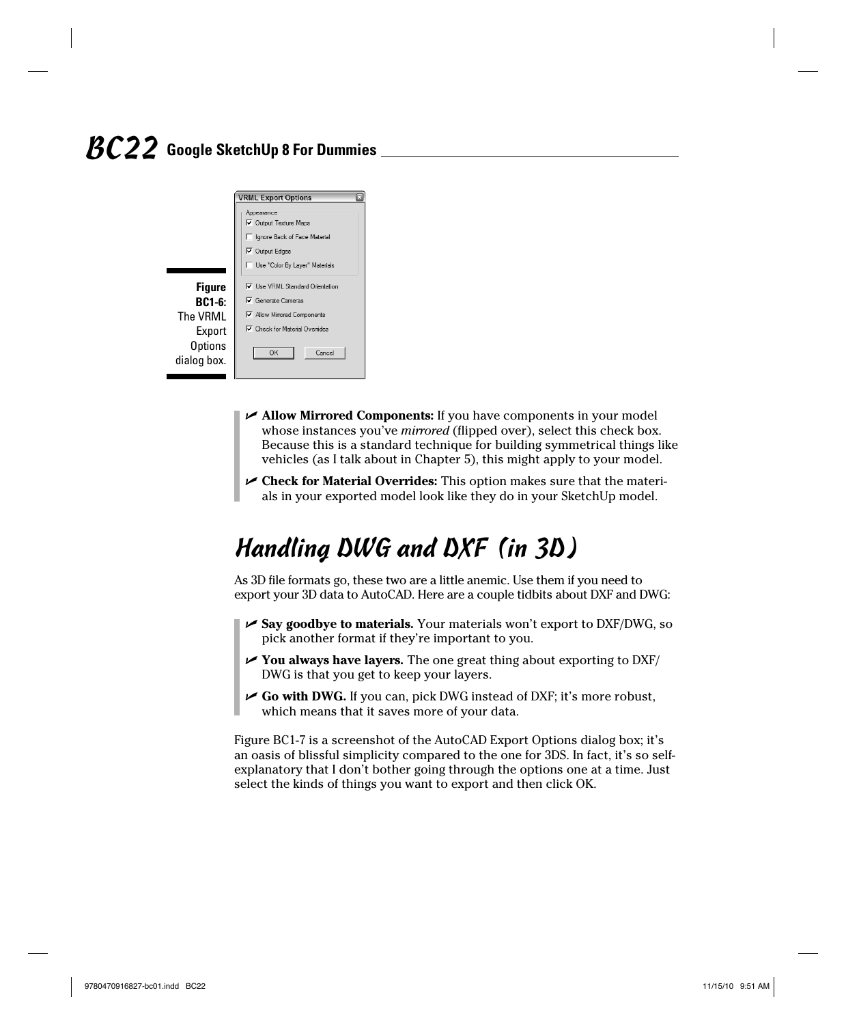# BC22 **Google SketchUp 8 For Dummies**

The

 $\Omega$ dialo

| <b>VRML Export Options</b>                                      |                                                                                                                                                                           |  |  |  |
|-----------------------------------------------------------------|---------------------------------------------------------------------------------------------------------------------------------------------------------------------------|--|--|--|
|                                                                 | Appearance<br>Output Texture Maps<br>I Ignore Back of Face Material<br>$\overline{\vee}$ Output Edges<br>Use "Color By Laver" Materials                                   |  |  |  |
| <b>Figure</b><br>BC1-6:<br>VRMI<br>Export<br>Iptions<br>og box. | ↓ Use VRML Standard Orientation<br>$\overline{\mathbf{v}}$ Generate Cameras<br>Millow Mirrored Components<br>$\triangledown$ Check for Material Overrides<br>OK<br>Cancel |  |  |  |

- ✓ **Allow Mirrored Components:** If you have components in your model whose instances you've *mirrored* (flipped over), select this check box. Because this is a standard technique for building symmetrical things like vehicles (as I talk about in Chapter 5), this might apply to your model.
- ✓ **Check for Material Overrides:** This option makes sure that the materials in your exported model look like they do in your SketchUp model.

### Handling DWG and DXF (in 3D)

As 3D file formats go, these two are a little anemic. Use them if you need to export your 3D data to AutoCAD. Here are a couple tidbits about DXF and DWG:

- ✓ **Say goodbye to materials.** Your materials won't export to DXF/DWG, so pick another format if they're important to you.
- ✓ **You always have layers.** The one great thing about exporting to DXF/ DWG is that you get to keep your layers.
- ✓ **Go with DWG.** If you can, pick DWG instead of DXF; it's more robust, which means that it saves more of your data.

Figure BC1-7 is a screenshot of the AutoCAD Export Options dialog box; it's an oasis of blissful simplicity compared to the one for 3DS. In fact, it's so selfexplanatory that I don't bother going through the options one at a time. Just select the kinds of things you want to export and then click OK.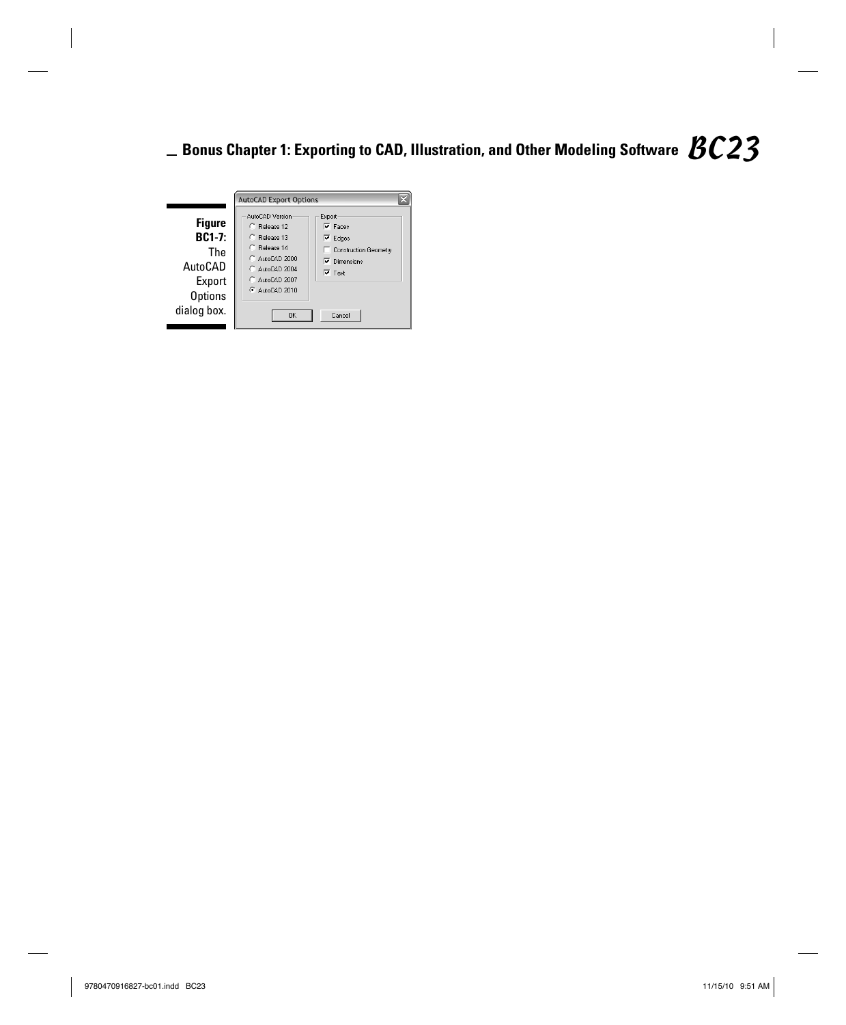|                                                                                             | <b>AutoCAD Export Options</b>                                                                                                            |                                                                                                                                                                   |  |
|---------------------------------------------------------------------------------------------|------------------------------------------------------------------------------------------------------------------------------------------|-------------------------------------------------------------------------------------------------------------------------------------------------------------------|--|
| <b>Figure</b><br><b>BC1-7:</b><br>The<br>AutoCAD<br>Export<br><b>Options</b><br>dialog box. | AutoCAD Version<br>C Release 12<br>C Release 13<br>C. Belease 14<br>C AutoCAD 2000<br>C AutoCAD 2004<br>C AutoCAD 2007<br>C AutoCAD 2010 | Export<br>$\overline{\triangledown}$ Faces<br>$\overline{\triangledown}$ Edges<br>Construction Geometry<br>$\nabla$ Dimensions<br>$\overline{\triangledown}$ Text |  |
|                                                                                             | 0K                                                                                                                                       | Cancel                                                                                                                                                            |  |